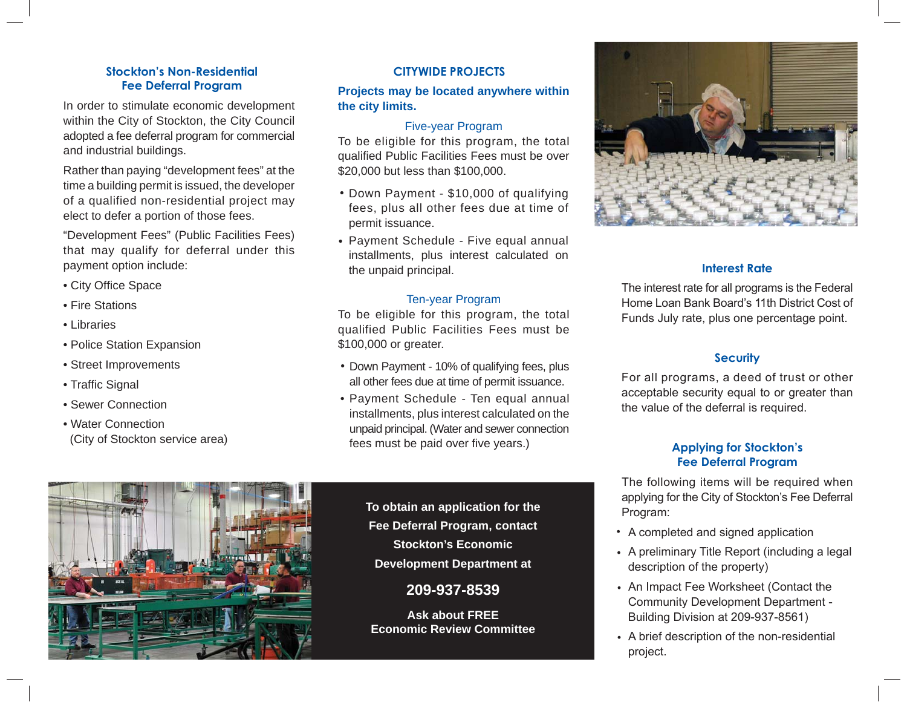# **Stockton's Non-Residential**

In order to stimulate economic development within the City of Stockton, the City Council adopted a fee deferral program for commercial and industrial buildings.

Rather than paying "development fees" at the time a building permit is issued, the developer of a qualified non-residential project may elect to defer a portion of those fees.

"Development Fees" (Public Facilities Fees) that may qualify for deferral under this payment option include:

- City Office Space
- Fire Stations
- Libraries
- Police Station Expansion
- Street Improvements
- Traffic Signal
- Sewer Connection
- Water Connection(City of Stockton service area)

#### **CITYWIDE PROJECTS**

### **Fee Deferral Program Projects may be located anywhere within the city limits.**

#### Five-year Program

To be eligible for this program, the total qualified Public Facilities Fees must be over \$20,000 but less than \$100,000.

- Down Payment \$10,000 of qualifying fees, plus all other fees due at time of permit issuance.
- Payment Schedule Five equal annual installments, plus interest calculated on the unpaid principal.

#### Ten-year Program

To be eligible for this program, the total qualified Public Facilities Fees must be \$100,000 or greater.

- Down Payment 10% of qualifying fees, plus all other fees due at time of permit issuance.
- Payment Schedule Ten equal annual installments, plus interest calculated on the unpaid principal. (Water and sewer connection fees must be paid over five years.)

**To obtain an application for the Fee Deferral Program, contact Stockton's Economic Development Department at**

## **209-937-8539**

**Ask about FREE Economic Review Committee**



#### **Interest Rate**

The interest rate for all programs is the Federal Home Loan Bank Board's 11th District Cost of Funds July rate, plus one percentage point.

#### **Security**

For all programs, a deed of trust or other acceptable security equal to or greater than the value of the deferral is required.

#### **Applying for Stockton's Fee Deferral Program**

The following items will be required when applying for the City of Stockton's Fee Deferral Program:

- A completed and signed application •
- A preliminary Title Report (including a legal •description of the property)
- An Impact Fee Worksheet (Contact the •Community Development Department - Building Division at 209-937-8561)
- A brief description of the non-residential •project.